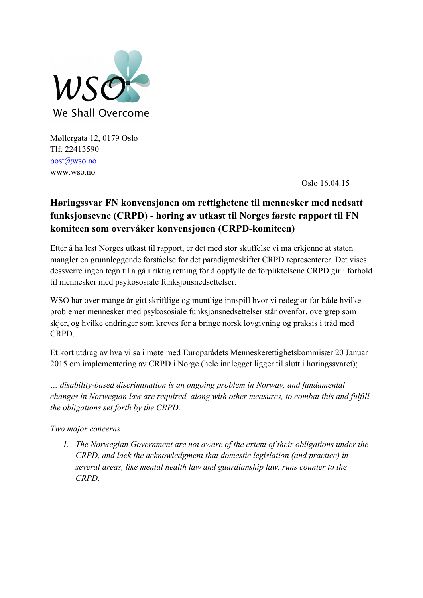

Møllergata 12, 0179 Oslo Tlf. 22413590 post@wso.no www.wso.no

Oslo 16.04.15

# **Høringssvar FN konvensjonen om rettighetene til mennesker med nedsatt funksjonsevne (CRPD) - høring av utkast til Norges første rapport til FN komiteen som overvåker konvensjonen (CRPD-komiteen)**

Etter å ha lest Norges utkast til rapport, er det med stor skuffelse vi må erkjenne at staten mangler en grunnleggende forståelse for det paradigmeskiftet CRPD representerer. Det vises dessverre ingen tegn til å gå i riktig retning for å oppfylle de forpliktelsene CRPD gir i forhold til mennesker med psykososiale funksjonsnedsettelser.

WSO har over mange år gitt skriftlige og muntlige innspill hvor vi redegjør for både hvilke problemer mennesker med psykososiale funksjonsnedsettelser står ovenfor, overgrep som skjer, og hvilke endringer som kreves for å bringe norsk lovgivning og praksis i tråd med CRPD.

Et kort utdrag av hva vi sa i møte med Europarådets Menneskerettighetskommisær 20 Januar 2015 om implementering av CRPD i Norge (hele innlegget ligger til slutt i høringssvaret);

*… disability-based discrimination is an ongoing problem in Norway, and fundamental changes in Norwegian law are required, along with other measures, to combat this and fulfill the obligations set forth by the CRPD.* 

*Two major concerns:*

*1. The Norwegian Government are not aware of the extent of their obligations under the CRPD, and lack the acknowledgment that domestic legislation (and practice) in several areas, like mental health law and guardianship law, runs counter to the CRPD.*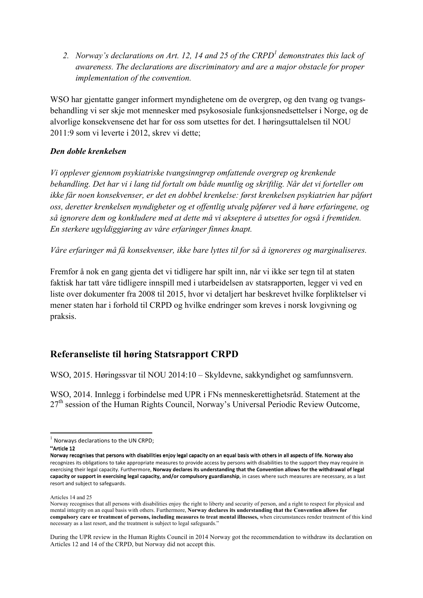*2. Norway's declarations on Art. 12, 14 and 25 of the CRPD<sup>1</sup> demonstrates this lack of awareness. The declarations are discriminatory and are a major obstacle for proper implementation of the convention.* 

WSO har gjentatte ganger informert myndighetene om de overgrep, og den tvang og tvangsbehandling vi ser skje mot mennesker med psykososiale funksjonsnedsettelser i Norge, og de alvorlige konsekvensene det har for oss som utsettes for det. I høringsuttalelsen til NOU 2011:9 som vi leverte i 2012, skrev vi dette;

### *Den doble krenkelsen*

*Vi opplever gjennom psykiatriske tvangsinngrep omfattende overgrep og krenkende behandling. Det har vi i lang tid fortalt om både muntlig og skriftlig. Når det vi forteller om ikke får noen konsekvenser, er det en dobbel krenkelse: først krenkelsen psykiatrien har påført oss, deretter krenkelsen myndigheter og et offentlig utvalg påfører ved å høre erfaringene, og så ignorere dem og konkludere med at dette må vi akseptere å utsettes for også i fremtiden. En sterkere ugyldiggjøring av våre erfaringer finnes knapt.* 

*Våre erfaringer må få konsekvenser, ikke bare lyttes til for så å ignoreres og marginaliseres.*

Fremfor å nok en gang gjenta det vi tidligere har spilt inn, når vi ikke ser tegn til at staten faktisk har tatt våre tidligere innspill med i utarbeidelsen av statsrapporten, legger vi ved en liste over dokumenter fra 2008 til 2015, hvor vi detaljert har beskrevet hvilke forpliktelser vi mener staten har i forhold til CRPD og hvilke endringer som kreves i norsk lovgivning og praksis.

## **Referanseliste til høring Statsrapport CRPD**

WSO, 2015. Høringssvar til NOU 2014:10 – Skyldevne, sakkyndighet og samfunnsvern.

WSO, 2014. Innlegg i forbindelse med UPR i FNs menneskerettighetsråd. Statement at the  $27<sup>th</sup>$  session of the Human Rights Council, Norway's Universal Periodic Review Outcome,

 $1$  Norways declarations to the UN CRPD;

<sup>&</sup>quot;Article 12

Norway recognises that persons with disabilities enjoy legal capacity on an equal basis with others in all aspects of life. Norway also recognizes its obligations to take appropriate measures to provide access by persons with disabilities to the support they may require in exercising their legal capacity. Furthermore, **Norway declares its understanding that the Convention allows for the withdrawal of legal** capacity or support in exercising legal capacity, and/or compulsory guardianship, in cases where such measures are necessary, as a last resort and subject to safeguards.

Articles 14 and 25

Norway recognises that all persons with disabilities enjoy the right to liberty and security of person, and a right to respect for physical and mental integrity on an equal basis with others. Furthermore, **Norway declares its understanding that the Convention allows for compulsory care or treatment of persons, including measures to treat mental illnesses,** when circumstances render treatment of this kind necessary as a last resort, and the treatment is subject to legal safeguards."

During the UPR review in the Human Rights Council in 2014 Norway got the recommendation to withdraw its declaration on Articles 12 and 14 of the CRPD, but Norway did not accept this.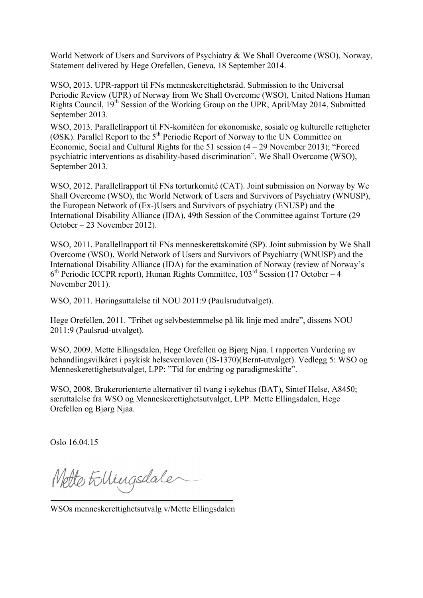World Network of Users and Survivors of Psychiatry & We Shall Overcome (WSO), Norway, Statement delivered by Hege Orefellen, Geneva, 18 September 2014.

WSO, 2013. UPR-rapport til FNs menneskerettighetsråd. Submission to the Universal Periodic Review (UPR) of Norway from We Shall Overcome (WSO), United Nations Human Rights Council, 19th Session of the Working Group on the UPR, April/May 2014, Submitted September 2013.

WSO, 2013. Parallellrapport til FN-komitéen for økonomiske, sosiale og kulturelle rettigheter ( $\overrightarrow{\text{OSK}}$ ). Parallel Report to the 5<sup>th</sup> Periodic Report of Norway to the UN Committee on Economic, Social and Cultural Rights for the 51 session (4 – 29 November 2013); "Forced psychiatric interventions as disability-based discrimination". We Shall Overcome (WSO), September 2013.

WSO, 2012. Parallellrapport til FNs torturkomité (CAT). Joint submission on Norway by We Shall Overcome (WSO), the World Network of Users and Survivors of Psychiatry (WNUSP), the European Network of (Ex-)Users and Survivors of psychiatry (ENUSP) and the International Disability Alliance (IDA), 49th Session of the Committee against Torture (29 October – 23 November 2012).

WSO, 2011. Parallellrapport til FNs menneskerettskomité (SP). Joint submission by We Shall Overcome (WSO), World Network of Users and Survivors of Psychiatry (WNUSP) and the International Disability Alliance (IDA) for the examination of Norway (review of Norway's  $6<sup>th</sup>$  Periodic ICCPR report), Human Rights Committee,  $103<sup>rd</sup>$  Session (17 October – 4 November 2011).

WSO, 2011. Høringsuttalelse til NOU 2011:9 (Paulsrudutvalget).

Hege Orefellen, 2011. "Frihet og selvbestemmelse på lik linje med andre", dissens NOU 2011:9 (Paulsrud-utvalget).

WSO, 2009. Mette Ellingsdalen, Hege Orefellen og Bjørg Njaa. I rapporten Vurdering av behandlingsvilkåret i psykisk helsevernloven (IS-1370)(Bernt-utvalget). Vedlegg 5: WSO og Menneskerettighetsutvalget, LPP: "Tid for endring og paradigmeskifte".

WSO, 2008. Brukerorienterte alternativer til tvang i sykehus (BAT), Sintef Helse, A8450; særuttalelse fra WSO og Menneskerettighetsutvalget, LPP. Mette Ellingsdalen, Hege Orefellen og Bjørg Njaa.

Oslo 16.04.15

Netto Ellingsdale

WSOs menneskerettighetsutvalg v/Mette Ellingsdalen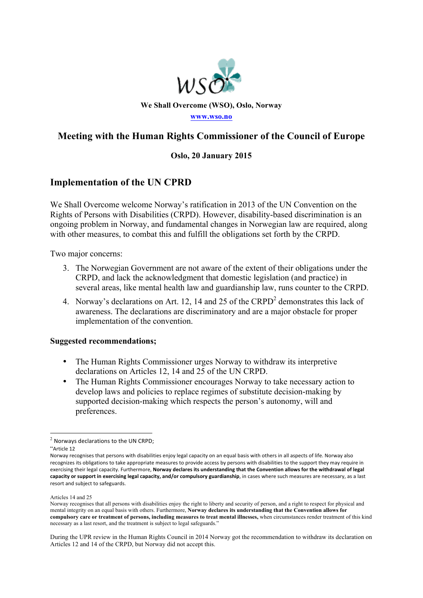

## **Meeting with the Human Rights Commissioner of the Council of Europe**

### **Oslo, 20 January 2015**

## **Implementation of the UN CPRD**

We Shall Overcome welcome Norway's ratification in 2013 of the UN Convention on the Rights of Persons with Disabilities (CRPD). However, disability-based discrimination is an ongoing problem in Norway, and fundamental changes in Norwegian law are required, along with other measures, to combat this and fulfill the obligations set forth by the CRPD.

Two major concerns:

- 3. The Norwegian Government are not aware of the extent of their obligations under the CRPD, and lack the acknowledgment that domestic legislation (and practice) in several areas, like mental health law and guardianship law, runs counter to the CRPD.
- 4. Norway's declarations on Art. 12, 14 and 25 of the CRPD<sup>2</sup> demonstrates this lack of awareness. The declarations are discriminatory and are a major obstacle for proper implementation of the convention.

### **Suggested recommendations;**

- The Human Rights Commissioner urges Norway to withdraw its interpretive declarations on Articles 12, 14 and 25 of the UN CRPD.
- The Human Rights Commissioner encourages Norway to take necessary action to develop laws and policies to replace regimes of substitute decision-making by supported decision-making which respects the person's autonomy, will and preferences.

<sup>!!!!!!!!!!!!!!!!!!!!!!!!!!!!!!!!!!!!!!!!!!!!!!!!!!!!!!!!!!!!</sup>  $<sup>2</sup>$  Norways declarations to the UN CRPD:</sup>

<sup>&</sup>quot;Article!12

Norway recognises that persons with disabilities enjoy legal capacity on an equal basis with others in all aspects of life. Norway also recognizes its obligations to take appropriate measures to provide access by persons with disabilities to the support they may require in exercising their legal capacity. Furthermore, Norway declares its understanding that the Convention allows for the withdrawal of legal capacity or support in exercising legal capacity, and/or compulsory guardianship, in cases where such measures are necessary, as a last resort and subject to safeguards.

Articles 14 and 25

Norway recognises that all persons with disabilities enjoy the right to liberty and security of person, and a right to respect for physical and mental integrity on an equal basis with others. Furthermore, **Norway declares its understanding that the Convention allows for compulsory care or treatment of persons, including measures to treat mental illnesses,** when circumstances render treatment of this kind necessary as a last resort, and the treatment is subject to legal safeguards."

During the UPR review in the Human Rights Council in 2014 Norway got the recommendation to withdraw its declaration on Articles 12 and 14 of the CRPD, but Norway did not accept this.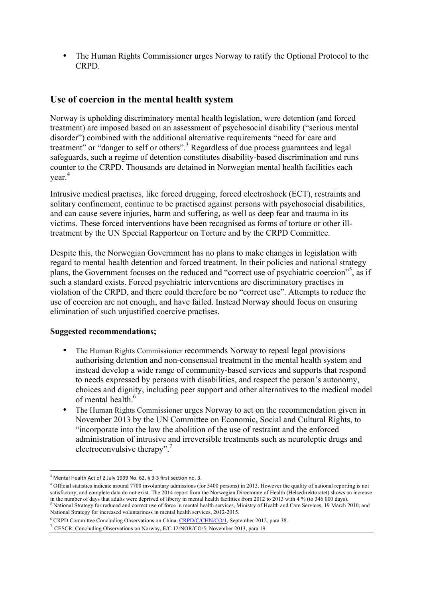• The Human Rights Commissioner urges Norway to ratify the Optional Protocol to the CRPD.

## **Use of coercion in the mental health system**

Norway is upholding discriminatory mental health legislation, were detention (and forced treatment) are imposed based on an assessment of psychosocial disability ("serious mental disorder") combined with the additional alternative requirements "need for care and treatment" or "danger to self or others".<sup>3</sup> Regardless of due process guarantees and legal safeguards, such a regime of detention constitutes disability-based discrimination and runs counter to the CRPD. Thousands are detained in Norwegian mental health facilities each year.<sup>4</sup>

Intrusive medical practises, like forced drugging, forced electroshock (ECT), restraints and solitary confinement, continue to be practised against persons with psychosocial disabilities, and can cause severe injuries, harm and suffering, as well as deep fear and trauma in its victims. These forced interventions have been recognised as forms of torture or other illtreatment by the UN Special Rapporteur on Torture and by the CRPD Committee.

Despite this, the Norwegian Government has no plans to make changes in legislation with regard to mental health detention and forced treatment. In their policies and national strategy plans, the Government focuses on the reduced and "correct use of psychiatric coercion"<sup>5</sup>, as if such a standard exists. Forced psychiatric interventions are discriminatory practises in violation of the CRPD, and there could therefore be no "correct use". Attempts to reduce the use of coercion are not enough, and have failed. Instead Norway should focus on ensuring elimination of such unjustified coercive practises.

### **Suggested recommendations;**

- The Human Rights Commissioner recommends Norway to repeal legal provisions authorising detention and non-consensual treatment in the mental health system and instead develop a wide range of community-based services and supports that respond to needs expressed by persons with disabilities, and respect the person's autonomy, choices and dignity, including peer support and other alternatives to the medical model of mental health.<sup>6</sup>
- The Human Rights Commissioner urges Norway to act on the recommendation given in November 2013 by the UN Committee on Economic, Social and Cultural Rights, to "incorporate into the law the abolition of the use of restraint and the enforced administration of intrusive and irreversible treatments such as neuroleptic drugs and electroconvulsive therapy".<sup>7</sup>

!!!!!!!!!!!!!!!!!!!!!!!!!!!!!!!!!!!!!!!!!!!!!!!!!!!!!!!!!!!!

 $3$  Mental Health Act of 2 July 1999 No. 62, § 3-3 first section no. 3.

<sup>4</sup> Official statistics indicate around 7700 involuntary admissions (for 5400 persons) in 2013. However the quality of national reporting is not satisfactory, and complete data do not exist. The 2014 report from the Norwegian Directorate of Health (Helsedirektoratet) shows an increase in the number of days that adults were deprived of liberty in mental health facil <sup>5</sup> National Strategy for reduced and correct use of force in mental health services, Ministry of Health and Care Services, 19 March 2010, and National Strategy for increased voluntariness in mental health services, 2012-2015.

<sup>&</sup>lt;sup>6</sup> CRPD Committee Concluding Observations on China, CRPD/C/CHN/CO/1, September 2012, para 38. <sup>7</sup> CESCR, Concluding Observations on Norway, E/C.12/NOR/CO/5, November 2013, para 19.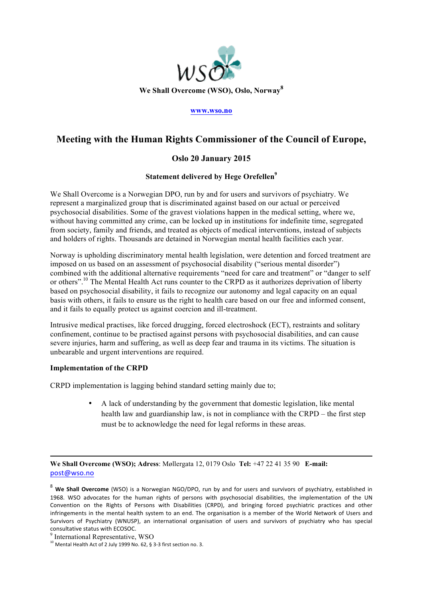

#### **www.wso.no**

## **Meeting with the Human Rights Commissioner of the Council of Europe,**

### **Oslo 20 January 2015**

#### **Statement delivered by Hege Orefellen<sup>9</sup>**

We Shall Overcome is a Norwegian DPO, run by and for users and survivors of psychiatry. We represent a marginalized group that is discriminated against based on our actual or perceived psychosocial disabilities. Some of the gravest violations happen in the medical setting, where we, without having committed any crime, can be locked up in institutions for indefinite time, segregated from society, family and friends, and treated as objects of medical interventions, instead of subjects and holders of rights. Thousands are detained in Norwegian mental health facilities each year.

Norway is upholding discriminatory mental health legislation, were detention and forced treatment are imposed on us based on an assessment of psychosocial disability ("serious mental disorder") combined with the additional alternative requirements "need for care and treatment" or "danger to self or others".10 The Mental Health Act runs counter to the CRPD as it authorizes deprivation of liberty based on psychosocial disability, it fails to recognize our autonomy and legal capacity on an equal basis with others, it fails to ensure us the right to health care based on our free and informed consent, and it fails to equally protect us against coercion and ill-treatment.

Intrusive medical practises, like forced drugging, forced electroshock (ECT), restraints and solitary confinement, continue to be practised against persons with psychosocial disabilities, and can cause severe injuries, harm and suffering, as well as deep fear and trauma in its victims. The situation is unbearable and urgent interventions are required.

#### **Implementation of the CRPD**

CRPD implementation is lagging behind standard setting mainly due to;

• A lack of understanding by the government that domestic legislation, like mental health law and guardianship law, is not in compliance with the CRPD – the first step must be to acknowledge the need for legal reforms in these areas.

**We Shall Overcome (WSO); Adress**: Møllergata 12, 0179 Oslo **Tel:** +47 22 41 35 90 **E-mail:** post@wso.no

!!!!!!!!!!!!!!!!!!!!!!!!!!!!!!!!!!!!!!!!!!!!!!!!!!!!!!!!!!!!!!!!!!!!!!!!!!!!!!!!!!!!!!!!!!!!!!!!!!!!!!!!!!!!!!!!!!!!!!!!!!!!!!!!!!!!!!!!!!!!!!!!!!!!!!!!!!!!!!!!!!!!!!!!!!!!!!!!!!!!!!!!!!!!!

<sup>&</sup>lt;sup>8</sup> We Shall Overcome (WSO) is a Norwegian NGO/DPO, run by and for users and survivors of psychiatry, established in 1968. WSO advocates for the human rights of persons with psychosocial disabilities, the implementation of the UN Convention on the Rights of Persons with Disabilities (CRPD), and bringing forced psychiatric practices and other infringements in the mental health system to an end. The organisation is a member of the World Network of Users and Survivors of Psychiatry (WNUSP), an international organisation of users and survivors of psychiatry who has special consultative status with ECOSOC.

<sup>9</sup> International Representative, WSO

<sup>10</sup> Mental Health Act of 2 July 1999 No. 62, § 3-3 first section no. 3.